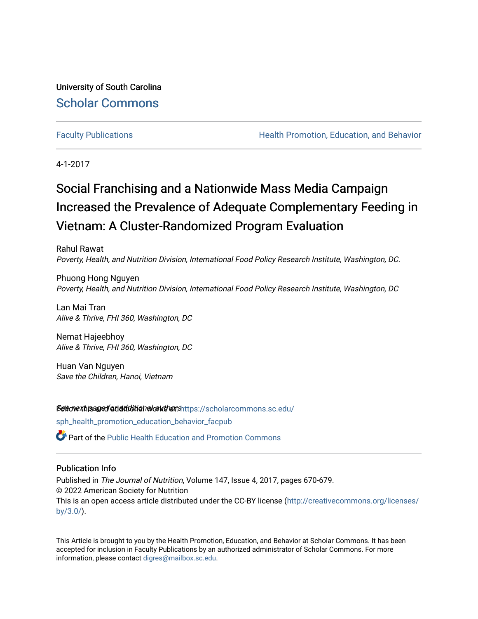University of South Carolina [Scholar Commons](https://scholarcommons.sc.edu/) 

[Faculty Publications](https://scholarcommons.sc.edu/sph_health_promotion_education_behavior_facpub) **Health Promotion, Education, and Behavior Health Promotion, Education, and Behavior** 

4-1-2017

# Social Franchising and a Nationwide Mass Media Campaign Increased the Prevalence of Adequate Complementary Feeding in Vietnam: A Cluster-Randomized Program Evaluation

Rahul Rawat Poverty, Health, and Nutrition Division, International Food Policy Research Institute, Washington, DC.

Phuong Hong Nguyen Poverty, Health, and Nutrition Division, International Food Policy Research Institute, Washington, DC

Lan Mai Tran Alive & Thrive, FHI 360, Washington, DC

Nemat Hajeebhoy Alive & Thrive, FHI 360, Washington, DC

Huan Van Nguyen Save the Children, Hanoi, Vietnam

Settow xhisage faddiditional authors[https://scholarcommons.sc.edu/](https://scholarcommons.sc.edu/sph_health_promotion_education_behavior_facpub?utm_source=scholarcommons.sc.edu%2Fsph_health_promotion_education_behavior_facpub%2F328&utm_medium=PDF&utm_campaign=PDFCoverPages)

[sph\\_health\\_promotion\\_education\\_behavior\\_facpub](https://scholarcommons.sc.edu/sph_health_promotion_education_behavior_facpub?utm_source=scholarcommons.sc.edu%2Fsph_health_promotion_education_behavior_facpub%2F328&utm_medium=PDF&utm_campaign=PDFCoverPages)

**P** Part of the Public Health Education and Promotion Commons

# Publication Info

Published in The Journal of Nutrition, Volume 147, Issue 4, 2017, pages 670-679. © 2022 American Society for Nutrition This is an open access article distributed under the CC-BY license ([http://creativecommons.org/licenses/](http://creativecommons.org/licenses/by/3.0/) [by/3.0/](http://creativecommons.org/licenses/by/3.0/)).

This Article is brought to you by the Health Promotion, Education, and Behavior at Scholar Commons. It has been accepted for inclusion in Faculty Publications by an authorized administrator of Scholar Commons. For more information, please contact [digres@mailbox.sc.edu.](mailto:digres@mailbox.sc.edu)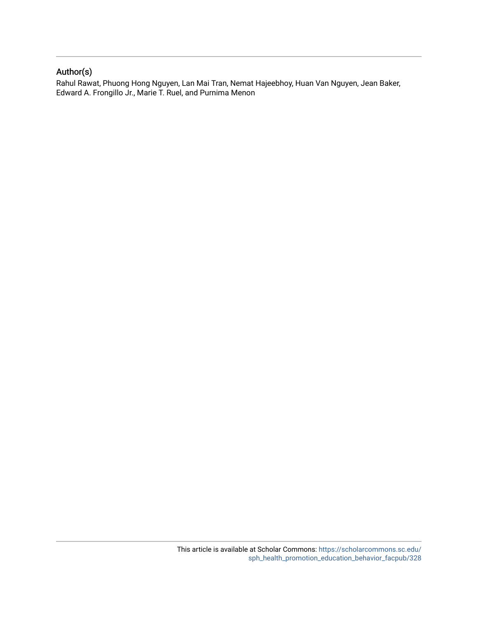# Author(s)

Rahul Rawat, Phuong Hong Nguyen, Lan Mai Tran, Nemat Hajeebhoy, Huan Van Nguyen, Jean Baker, Edward A. Frongillo Jr., Marie T. Ruel, and Purnima Menon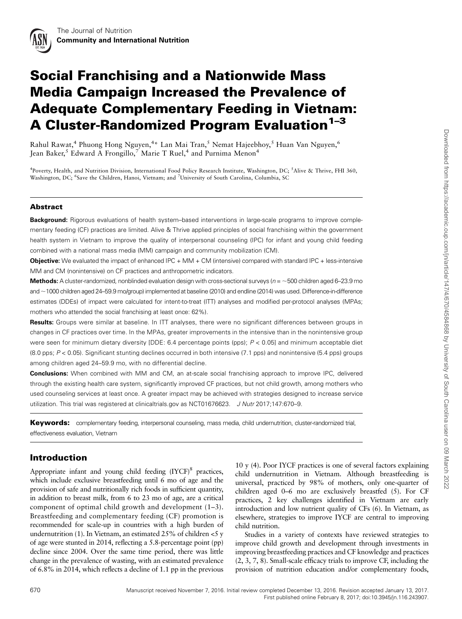

# Social Franchising and a Nationwide Mass Media Campaign Increased the Prevalence of Adequate Complementary Feeding in Vietnam: A Cluster-Randomized Program Evaluation<sup>1-3</sup>

Rahul Rawat,<sup>4</sup> Phuong Hong Nguyen,<sup>4</sup>\* Lan Mai Tran,<sup>5</sup> Nemat Hajeebhoy,<sup>5</sup> Huan Van Nguyen,<sup>6</sup> Jean Baker,<sup>5</sup> Edward A Frongillo,<sup>7</sup> Marie T Ruel,<sup>4</sup> and Purnima Menon<sup>4</sup>

<sup>4</sup>Poverty, Health, and Nutrition Division, International Food Policy Research Institute, Washington, DC; <sup>5</sup>Alive & Thrive, FHI 360, Washington, DC; <sup>6</sup>Save the Children, Hanoi, Vietnam; and <sup>7</sup>University of South Carolina, Columbia, SC

#### Abstract

**Background:** Rigorous evaluations of health system–based interventions in large-scale programs to improve complementary feeding (CF) practices are limited. Alive & Thrive applied principles of social franchising within the government health system in Vietnam to improve the quality of interpersonal counseling (IPC) for infant and young child feeding combined with a national mass media (MM) campaign and community mobilization (CM).

Objective: We evaluated the impact of enhanced IPC + MM + CM (intensive) compared with standard IPC + less-intensive MM and CM (nonintensive) on CF practices and anthropometric indicators.

**Methods:** A cluster-randomized, nonblinded evaluation design with cross-sectional surveys ( $n = \sim 500$  children aged 6–23.9 mo and ~1000 children aged 24–59.9 mo/group) implemented at baseline (2010) and endline (2014) was used. Difference-in-difference estimates (DDEs) of impact were calculated for intent-to-treat (ITT) analyses and modified per-protocol analyses (MPAs; mothers who attended the social franchising at least once: 62%).

Results: Groups were similar at baseline. In ITT analyses, there were no significant differences between groups in changes in CF practices over time. In the MPAs, greater improvements in the intensive than in the nonintensive group were seen for minimum dietary diversity [DDE: 6.4 percentage points (pps);  $P < 0.05$ ] and minimum acceptable diet (8.0 pps; P < 0.05). Significant stunting declines occurred in both intensive (7.1 pps) and nonintensive (5.4 pps) groups among children aged 24–59.9 mo, with no differential decline.

Conclusions: When combined with MM and CM, an at-scale social franchising approach to improve IPC, delivered through the existing health care system, significantly improved CF practices, but not child growth, among mothers who used counseling services at least once. A greater impact may be achieved with strategies designed to increase service utilization. This trial was registered at clinicaltrials.gov as NCT01676623. J Nutr 2017;147:670-9.

Keywords: complementary feeding, interpersonal counseling, mass media, child undernutrition, cluster-randomized trial, effectiveness evaluation, Vietnam

### Introduction

Appropriate infant and young child feeding  $(IVCF)^8$  practices, which include exclusive breastfeeding until 6 mo of age and the provision of safe and nutritionally rich foods in sufficient quantity, in addition to breast milk, from 6 to 23 mo of age, are a critical component of optimal child growth and development (1–3). Breastfeeding and complementary feeding (CF) promotion is recommended for scale-up in countries with a high burden of undernutrition (1). In Vietnam, an estimated  $25\%$  of children  $\lt 5$  y of age were stunted in 2014, reflecting a 5.8-percentage point (pp) decline since 2004. Over the same time period, there was little change in the prevalence of wasting, with an estimated prevalence of 6.8% in 2014, which reflects a decline of 1.1 pp in the previous

10 y (4). Poor IYCF practices is one of several factors explaining child undernutrition in Vietnam. Although breastfeeding is universal, practiced by 98% of mothers, only one-quarter of children aged 0–6 mo are exclusively breastfed (5). For CF practices, 2 key challenges identified in Vietnam are early introduction and low nutrient quality of CFs (6). In Vietnam, as elsewhere, strategies to improve IYCF are central to improving child nutrition.

Studies in a variety of contexts have reviewed strategies to improve child growth and development through investments in improving breastfeeding practices and CF knowledge and practices (2, 3, 7, 8). Small-scale efficacy trials to improve CF, including the provision of nutrition education and/or complementary foods,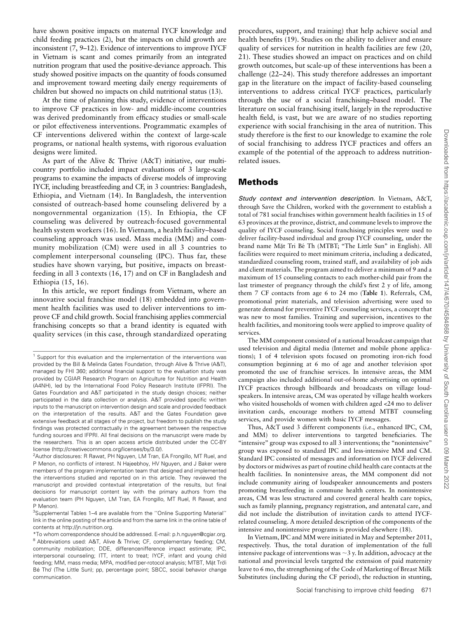have shown positive impacts on maternal IYCF knowledge and child feeding practices (2), but the impacts on child growth are inconsistent (7, 9–12). Evidence of interventions to improve IYCF in Vietnam is scant and comes primarily from an integrated nutrition program that used the positive-deviance approach. This study showed positive impacts on the quantity of foods consumed and improvement toward meeting daily energy requirements of children but showed no impacts on child nutritional status (13).

At the time of planning this study, evidence of interventions to improve CF practices in low- and middle-income countries was derived predominantly from efficacy studies or small-scale or pilot effectiveness interventions. Programmatic examples of CF interventions delivered within the context of large-scale programs, or national health systems, with rigorous evaluation designs were limited.

As part of the Alive & Thrive (A&T) initiative, our multicountry portfolio included impact evaluations of 3 large-scale programs to examine the impacts of diverse models of improving IYCF, including breastfeeding and CF, in 3 countries: Bangladesh, Ethiopia, and Vietnam (14). In Bangladesh, the intervention consisted of outreach-based home counseling delivered by a nongovernmental organization (15). In Ethiopia, the CF counseling was delivered by outreach-focused governmental health system workers (16). In Vietnam, a health facility–based counseling approach was used. Mass media (MM) and community mobilization (CM) were used in all 3 countries to complement interpersonal counseling (IPC). Thus far, these studies have shown varying, but positive, impacts on breastfeeding in all 3 contexts (16, 17) and on CF in Bangladesh and Ethiopia (15, 16).

In this article, we report findings from Vietnam, where an innovative social franchise model (18) embedded into government health facilities was used to deliver interventions to improve CF and child growth. Social franchising applies commercial franchising concepts so that a brand identity is equated with quality services (in this case, through standardized operating procedures, support, and training) that help achieve social and health benefits (19). Studies on the ability to deliver and ensure quality of services for nutrition in health facilities are few (20, 21). These studies showed an impact on practices and on child growth outcomes, but scale-up of these interventions has been a challenge (22–24). This study therefore addresses an important gap in the literature on the impact of facility-based counseling interventions to address critical IYCF practices, particularly through the use of a social franchising–based model. The literature on social franchising itself, largely in the reproductive health field, is vast, but we are aware of no studies reporting experience with social franchising in the area of nutrition. This study therefore is the first to our knowledge to examine the role of social franchising to address IYCF practices and offers an example of the potential of the approach to address nutritionrelated issues.

### Methods

Study context and intervention description. In Vietnam, A&T, through Save the Children, worked with the government to establish a total of 781 social franchises within government health facilities in 15 of 63 provinces at the province, district, and commune levels to improve the quality of IYCF counseling. Social franchising principles were used to deliver facility-based individual and group IYCF counseling, under the brand name Mặt Tri Bé Th (MTBT; "The Little Sun" in English). All<br>facilities were required to meet minimum criteria, including a dedicated facilities were required to meet minimum criteria, including a dedicated, standardized counseling room, trained staff, and availability of job aids and client materials. The program aimed to deliver a minimum of 9 and a maximum of 15 counseling contacts to each mother-child pair from the last trimester of pregnancy through the child's first 2 y of life, among them 7 CF contacts from age 6 to 24 mo (Table 1). Referrals, CM, promotional print materials, and television advertising were used to generate demand for preventive IYCF counseling services, a concept that was new to most families. Training and supervision, incentives to the health facilities, and monitoring tools were applied to improve quality of services.

The MM component consisted of a national broadcast campaign that used television and digital media (Internet and mobile phone applications); 1 of 4 television spots focused on promoting iron-rich food consumption beginning at 6 mo of age and another television spot promoted the use of franchise services. In intensive areas, the MM campaign also included additional out-of-home advertising on optimal IYCF practices through billboards and broadcasts on village loudspeakers. In intensive areas, CM was operated by village health workers who visited households of women with children aged <24 mo to deliver invitation cards, encourage mothers to attend MTBT counseling services, and provide women with basic IYCF messages.

Thus, A&T used 3 different components (i.e., enhanced IPC, CM, and MM) to deliver interventions to targeted beneficiaries. The "intensive" group was exposed to all 3 interventions; the "nonintensive" group was exposed to standard IPC and less-intensive MM and CM. Standard IPC consisted of messages and information on IYCF delivered by doctors or midwives as part of routine child health care contacts at the health facilities. In nonintensive areas, the MM component did not include community airing of loudspeaker announcements and posters promoting breastfeeding in commune health centers. In nonintensive areas, CM was less structured and covered general health care topics, such as family planning, pregnancy registration, and antenatal care, and did not include the distribution of invitation cards to attend IYCFrelated counseling. A more detailed description of the components of the intensive and nonintensive programs is provided elsewhere (18).

In Vietnam, IPC and MM were initiated in May and September 2011, respectively. Thus, the total duration of implementation of the full intensive package of interventions was  $\sim$ 3 y. In addition, advocacy at the national and provincial levels targeted the extension of paid maternity leave to 6 mo, the strengthening of the Code of Marketing of Breast Milk Substitutes (including during the CF period), the reduction in stunting,

<sup>&</sup>lt;sup>1</sup> Support for this evaluation and the implementation of the interventions was provided by the Bill & Melinda Gates Foundation, through Alive & Thrive (A&T), managed by FHI 360; additional financial support to the evaluation study was provided by CGIAR Research Program on Agriculture for Nutrition and Health (A4NH), led by the International Food Policy Research Institute (IFPRI). The Gates Foundation and A&T participated in the study design choices; neither participated in the data collection or analysis. A&T provided specific written inputs to the manuscript on intervention design and scale and provided feedback on the interpretation of the results. A&T and the Gates Foundation gave extensive feedback at all stages of the project, but freedom to publish the study findings was protected contractually in the agreement between the respective funding sources and IFPRI. All final decisions on the manuscript were made by the researchers. This is an open access article distributed under the CC-BY license (http://creativecommons.org/licenses/by/3.0/).

<sup>&</sup>lt;sup>2</sup>Author disclosures: R Rawat, PH Nguyen, LM Tran, EA Frongillo, MT Ruel, and P Menon, no conflicts of interest. N Hajeebhoy, HV Nguyen, and J Baker were members of the program implementation team that designed and implemented the interventions studied and reported on in this article. They reviewed the manuscript and provided contextual interpretation of the results, but final decisions for manuscript content lay with the primary authors from the evaluation team (PH Nguyen, LM Tran, EA Frongillo, MT Ruel, R Rawat, and P Menon).

<sup>3</sup> Supplemental Tables 1–4 are available from the ''Online Supporting Material'' link in the online posting of the article and from the same link in the online table of contents at http://jn.nutrition.org.

<sup>\*</sup>To whom correspondence should be addressed. E-mail: p.h.nguyen@cgiar.org. <sup>8</sup> Abbreviations used: A&T, Alive & Thrive; CF, complementary feeding; CM, community mobilization; DDE, differencenifference impact estimate; IPC, interpersonal counseling; ITT, intent to treat; IYCF, infant and young child feeding; MM, mass media; MPA, modified per-rotocol analysis; MTBT, Mặt Trời<br>Bé Thơ (Tho Little Sun): np. narsontage point: SBCC, social behavier change Bé Thơ (The Little Sun); pp, percentage point; SBCC, social behavior change communication.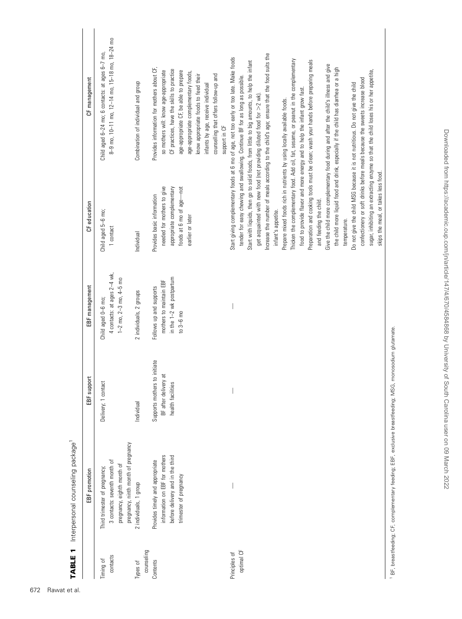| <b>TABLE 1</b>              | Interpersonal counseling package <sup>1</sup>                                                                                      |                                                                             |                                                                                             |                                                                                                                                         |                                                                                                                                                                                                                                                                                                                                                                                                                                                                                                                                                                                                                                                                                                                                                                                                                                                                                                                                                                                                                                                                                                                                              |
|-----------------------------|------------------------------------------------------------------------------------------------------------------------------------|-----------------------------------------------------------------------------|---------------------------------------------------------------------------------------------|-----------------------------------------------------------------------------------------------------------------------------------------|----------------------------------------------------------------------------------------------------------------------------------------------------------------------------------------------------------------------------------------------------------------------------------------------------------------------------------------------------------------------------------------------------------------------------------------------------------------------------------------------------------------------------------------------------------------------------------------------------------------------------------------------------------------------------------------------------------------------------------------------------------------------------------------------------------------------------------------------------------------------------------------------------------------------------------------------------------------------------------------------------------------------------------------------------------------------------------------------------------------------------------------------|
|                             | EBF promotion                                                                                                                      | EBF support                                                                 | EBF management                                                                              | CF education                                                                                                                            | CF management                                                                                                                                                                                                                                                                                                                                                                                                                                                                                                                                                                                                                                                                                                                                                                                                                                                                                                                                                                                                                                                                                                                                |
| contacts<br>Timing of       | pregnancy, ninth month of pregnancy<br>3 contacts: seventh month of<br>pregnancy, eighth month of<br>Third trimester of pregnancy; | Delivery; 1 contact                                                         | 4 contacts: at ages 2-4 wk,<br>$1-2$ mo, $2-3$ mo, $4-5$ mo<br>Child aged 0-6 mo;           | Child aged 5-6 mo;<br>1 contact                                                                                                         | 8-9 mo, 10-11 mo, 12-14 mo, 15-18 mo, 18-24 mo<br>Child aged 6-24 mo; 6 contacts: at ages 6-7 mo,                                                                                                                                                                                                                                                                                                                                                                                                                                                                                                                                                                                                                                                                                                                                                                                                                                                                                                                                                                                                                                            |
| counseling<br>Types of      | 2 individuals, 1 group                                                                                                             | Individual                                                                  | 2 individuals, 2 groups                                                                     | Individual                                                                                                                              | Combination of individual and group                                                                                                                                                                                                                                                                                                                                                                                                                                                                                                                                                                                                                                                                                                                                                                                                                                                                                                                                                                                                                                                                                                          |
| Contents                    | information on EBF for mothers<br>before delivery and in the third<br>Provides timely and appropriate<br>trimester of pregnancy    | Supports mothers to initiate<br>ಸ<br>BF after delivery<br>health facilities | in the 1-2 wk postpartum<br>mothers to maintain EBF<br>Follows up and supports<br>to 3-6 mo | needed for mothers to give<br>appropriate complementary<br>foods at 6 mo of age-not<br>Provides basic information<br>earlier or later   | Provides information for mothers about CF,<br>CF practices, have the skills to practice<br>so mothers will: know age-appropriate<br>age-appropriate CF, be able to prepare<br>age-appropriate complementary foods,<br>know appropriate foods to feed their<br>counselling that offers follow-up and<br>infants by age, receive individual<br>support in CF                                                                                                                                                                                                                                                                                                                                                                                                                                                                                                                                                                                                                                                                                                                                                                                   |
| optimal CF<br>Principles of |                                                                                                                                    |                                                                             |                                                                                             | Prepare mixed foods rich in nutrients by using locally available foods.<br>and feeding the child.<br>infant's appetite.<br>temperature. | ncrease the number of meals according to the child's age; ensure that the food suits the<br>Start giving complementary foods at 6 mo of age, not too early or too late. Make foods<br>Thicken the complementary food. Add oil, fat, sesame, or peanut in the complementary<br>Preparation and cooking tools must be clean; wash your hands before preparing meals<br>Start with liquids, then go to solid foods, from little to big amounts, to help the infant<br>Give the child more complementary food during and after the child's illness and give<br>the child more liquid food and drink, especially if the child has diarrhea or a high<br>sugar, inhibiting an extracting enzyme so that the child loses his or her appetite,<br>tender for easy chewing and swallowing. Continue BF for as long as possible<br>confectionery or soft drinks before meals because the sweets increase blood<br>Do not give the child MSG because it is not nutritious. Do not give the child<br>food to provide flavor and more energy and to help the infant grow fast.<br>get acquainted with new food (not providing diluted food for $>$ 2 wk). |
|                             |                                                                                                                                    |                                                                             |                                                                                             | skips the meal, or takes less food.                                                                                                     |                                                                                                                                                                                                                                                                                                                                                                                                                                                                                                                                                                                                                                                                                                                                                                                                                                                                                                                                                                                                                                                                                                                                              |

1 BF, breastfeeding; CF, complementary feeding; EBF, exclusive breastfeeding; MSG, monosodium glutamate. BF, breastfeeding; CF, complementary feeding; EBF, exclusive breastfeeding; MSG, monosodium glutamate.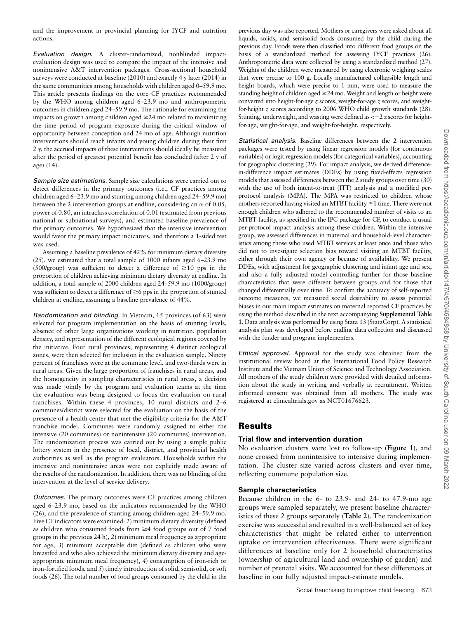and the improvement in provincial planning for IYCF and nutrition actions.

Evaluation design. A cluster-randomized, nonblinded impactevaluation design was used to compare the impact of the intensive and nonintensive A&T intervention packages. Cross-sectional household surveys were conducted at baseline (2010) and exactly 4 y later (2014) in the same communities among households with children aged 0–59.9 mo. This article presents findings on the core CF practices recommended by the WHO among children aged 6–23.9 mo and anthropometric outcomes in children aged 24–59.9 mo. The rationale for examining the impacts on growth among children aged  $\geq$ 24 mo related to maximizing the time period of program exposure during the critical window of opportunity between conception and 24 mo of age. Although nutrition interventions should reach infants and young children during their first 2 y, the accrued impacts of these interventions should ideally be measured after the period of greatest potential benefit has concluded (after 2 y of age) (14).

Sample size estimations. Sample size calculations were carried out to detect differences in the primary outcomes (i.e., CF practices among children aged 6–23.9 mo and stunting among children aged 24–59.9 mo) between the 2 intervention groups at endline, considering an  $\alpha$  of 0.05, power of 0.80, an intraclass correlation of 0.01 (estimated from previous national or subnational surveys), and estimated baseline prevalence of the primary outcomes. We hypothesized that the intensive intervention would favor the primary impact indicators, and therefore a 1-sided test was used.

Assuming a baseline prevalence of 42% for minimum dietary diversity (25), we estimated that a total sample of 1000 infants aged 6–23.9 mo (500/group) was sufficient to detect a difference of  $\geq$ 10 pps in the proportion of children achieving minimum dietary diversity at endline. In addition, a total sample of 2000 children aged 24–59.9 mo (1000/group) was sufficient to detect a difference of  $\geq$ 6 pps in the proportion of stunted children at endline, assuming a baseline prevalence of 44%.

Randomization and blinding. In Vietnam, 15 provinces (of 63) were selected for program implementation on the basis of stunting levels, absence of other large organizations working in nutrition, population density, and representation of the different ecological regions covered by the initiative. Four rural provinces, representing 4 distinct ecological zones, were then selected for inclusion in the evaluation sample. Ninety percent of franchises were at the commune level, and two-thirds were in rural areas. Given the large proportion of franchises in rural areas, and the homogeneity in sampling characteristics in rural areas, a decision was made jointly by the program and evaluation teams at the time the evaluation was being designed to focus the evaluation on rural franchises. Within these 4 provinces, 10 rural districts and 2–6 communes/district were selected for the evaluation on the basis of the presence of a health center that met the eligibility criteria for the A&T franchise model. Communes were randomly assigned to either the intensive (20 communes) or nonintensive (20 communes) intervention. The randomization process was carried out by using a simple public lottery system in the presence of local, district, and provincial health authorities as well as the program evaluators. Households within the intensive and nonintensive areas were not explicitly made aware of the results of the randomization. In addition, there was no blinding of the intervention at the level of service delivery.

Outcomes. The primary outcomes were CF practices among children aged 6–23.9 mo, based on the indicators recommended by the WHO (26), and the prevalence of stunting among children aged 24–59.9 mo. Five CF indicators were examined: 1) minimum dietary diversity (defined as children who consumed foods from  $\geq 4$  food groups out of 7 food groups in the previous 24 h), 2) minimum meal frequency as appropriate for age, 3) minimum acceptable diet (defined as children who were breastfed and who also achieved the minimum dietary diversity and ageappropriate minimum meal frequency), 4) consumption of iron-rich or iron-fortified foods, and 5) timely introduction of solid, semisolid, or soft foods (26). The total number of food groups consumed by the child in the previous day was also reported. Mothers or caregivers were asked about all liquids, solids, and semisolid foods consumed by the child during the previous day. Foods were then classified into different food groups on the basis of a standardized method for assessing IYCF practices (26). Anthropometric data were collected by using a standardized method (27). Weights of the children were measured by using electronic weighing scales that were precise to 100 g. Locally manufactured collapsible length and height boards, which were precise to 1 mm, were used to measure the standing height of children aged \$24 mo. Weight and length or height were converted into height-for-age z scores, weight-for-age z scores, and weightfor-height z scores according to 2006 WHO child growth standards (28). Stunting, underweight, and wasting were defined as  $<-2z$  scores for heightfor-age, weight-for-age, and weight-for-height, respectively.

Statistical analysis. Baseline differences between the 2 intervention packages were tested by using linear regression models (for continuous variables) or logit regression models (for categorical variables), accounting for geographic clustering (29). For impact analysis, we derived differencein-difference impact estimates (DDEs) by using fixed-effects regression models that assessed differences between the 2 study groups over time (30) with the use of both intent-to-treat (ITT) analysis and a modified perprotocol analysis (MPA). The MPA was restricted to children whose mothers reported having visited an MTBT facility  $\geq$  1 time. There were not enough children who adhered to the recommended number of visits to an MTBT facility, as specified in the IPC package for CF, to conduct a usual per-protocol impact analysis among these children. Within the intensive group, we assessed differences in maternal and household-level characteristics among those who used MTBT services at least once and those who did not to investigate selection bias toward visiting an MTBT facility, either through their own agency or because of availability. We present DDEs, with adjustment for geographic clustering and infant age and sex, and also a fully adjusted model controlling further for those baseline characteristics that were different between groups and for those that changed differentially over time. To confirm the accuracy of self-reported outcome measures, we measured social desirability to assess potential biases in our main impact estimates on maternal reported CF practices by using the method described in the text accompanying Supplemental Table 1. Data analysis was performed by using Stata 13 (StataCorp). A statistical analysis plan was developed before endline data collection and discussed with the funder and program implementers.

Ethical approval. Approval for the study was obtained from the institutional review board at the International Food Policy Research Institute and the Vietnam Union of Science and Technology Association. All mothers of the study children were provided with detailed information about the study in writing and verbally at recruitment. Written informed consent was obtained from all mothers. The study was registered at clinicaltrials.gov as NCT01676623.

# Results

#### Trial flow and intervention duration

No evaluation clusters were lost to follow-up (Figure 1), and none crossed from nonintensive to intensive during implementation. The cluster size varied across clusters and over time, reflecting commune population size.

#### Sample characteristics

Because children in the 6- to 23.9- and 24- to 47.9-mo age groups were sampled separately, we present baseline characteristics of these 2 groups separately (Table 2). The randomization exercise was successful and resulted in a well-balanced set of key characteristics that might be related either to intervention uptake or intervention effectiveness. There were significant differences at baseline only for 2 household characteristics (ownership of agricultural land and ownership of garden) and number of prenatal visits. We accounted for these differences at baseline in our fully adjusted impact-estimate models.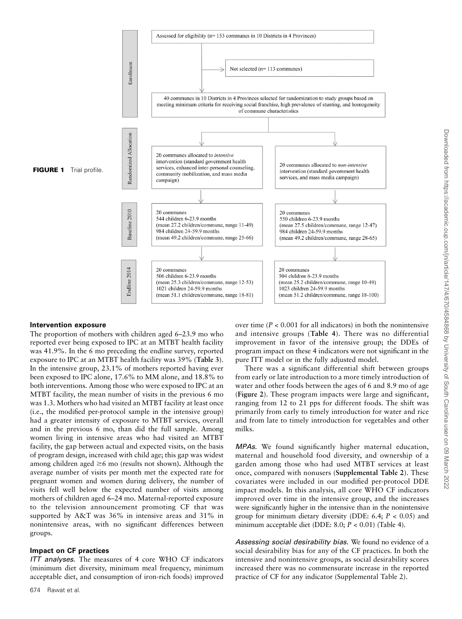

#### Intervention exposure

The proportion of mothers with children aged 6–23.9 mo who reported ever being exposed to IPC at an MTBT health facility was 41.9%. In the 6 mo preceding the endline survey, reported exposure to IPC at an MTBT health facility was 39% (Table 3). In the intensive group, 23.1% of mothers reported having ever been exposed to IPC alone, 17.6% to MM alone, and 18.8% to both interventions. Among those who were exposed to IPC at an MTBT facility, the mean number of visits in the previous 6 mo was 1.3. Mothers who had visited an MTBT facility at least once (i.e., the modified per-protocol sample in the intensive group) had a greater intensity of exposure to MTBT services, overall and in the previous 6 mo, than did the full sample. Among women living in intensive areas who had visited an MTBT facility, the gap between actual and expected visits, on the basis of program design, increased with child age; this gap was widest among children aged  $\geq 6$  mo (results not shown). Although the average number of visits per month met the expected rate for pregnant women and women during delivery, the number of visits fell well below the expected number of visits among mothers of children aged 6–24 mo. Maternal-reported exposure to the television announcement promoting CF that was supported by A&T was 36% in intensive areas and 31% in nonintensive areas, with no significant differences between groups.

#### Impact on CF practices

ITT analyses. The measures of 4 core WHO CF indicators (minimum diet diversity, minimum meal frequency, minimum acceptable diet, and consumption of iron-rich foods) improved

over time ( $P < 0.001$  for all indicators) in both the nonintensive and intensive groups (Table 4). There was no differential improvement in favor of the intensive group; the DDEs of program impact on these 4 indicators were not significant in the pure ITT model or in the fully adjusted model.

There was a significant differential shift between groups from early or late introduction to a more timely introduction of water and other foods between the ages of 6 and 8.9 mo of age (Figure 2). These program impacts were large and significant, ranging from 12 to 21 pps for different foods. The shift was primarily from early to timely introduction for water and rice and from late to timely introduction for vegetables and other milks.

MPAs. We found significantly higher maternal education, maternal and household food diversity, and ownership of a garden among those who had used MTBT services at least once, compared with nonusers (Supplemental Table 2). These covariates were included in our modified per-protocol DDE impact models. In this analysis, all core WHO CF indicators improved over time in the intensive group, and the increases were significantly higher in the intensive than in the nonintensive group for minimum dietary diversity (DDE: 6.4;  $P < 0.05$ ) and minimum acceptable diet (DDE:  $8.0; P < 0.01$ ) (Table 4).

Assessing social desirability bias. We found no evidence of a social desirability bias for any of the CF practices. In both the intensive and nonintensive groups, as social desirability scores increased there was no commensurate increase in the reported practice of CF for any indicator (Supplemental Table 2).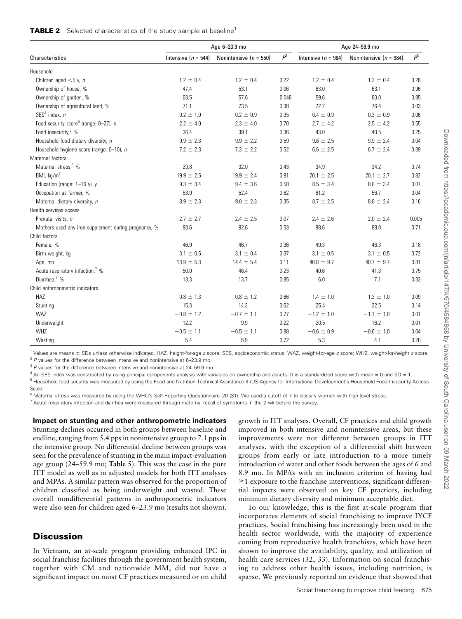|  |  | <b>TABLE 2</b> Selected characteristics of the study sample at baseline <sup>1</sup> |  |  |  |  |
|--|--|--------------------------------------------------------------------------------------|--|--|--|--|
|--|--|--------------------------------------------------------------------------------------|--|--|--|--|

|                                                      |                         | Age 6-23.9 mo              |       | Age 24-59.9 mo          |                            |       |
|------------------------------------------------------|-------------------------|----------------------------|-------|-------------------------|----------------------------|-------|
| Characteristics                                      | Intensive ( $n = 544$ ) | Nonintensive ( $n = 550$ ) | $P^2$ | Intensive ( $n = 984$ ) | Nonintensive ( $n = 984$ ) | $P^3$ |
| Household                                            |                         |                            |       |                         |                            |       |
| Children aged $<$ 5 y, n                             | $1.2 \pm 0.4$           | $1.2 \pm 0.4$              | 0.22  | $1.2 \pm 0.4$           | $1.2 \pm 0.4$              | 0.28  |
| Ownership of house, %                                | 47.4                    | 53.1                       | 0.06  | 63.0                    | 63.1                       | 0.96  |
| Ownership of garden, %                               | 63.5                    | 57.6                       | 0.046 | 59.6                    | 60.0                       | 0.85  |
| Ownership of agricultural land, %                    | 71.1                    | 73.5                       | 0.38  | 72.2                    | 76.4                       | 0.03  |
| SES <sup>4</sup> index. $n$                          | $-0.2 \pm 1.0$          | $-0.2 \pm 0.9$             | 0.95  | $-0.4 \pm 0.9$          | $-0.3 \pm 0.9$             | 0.06  |
| Food security score <sup>5</sup> (range: $0-27$ ), n | $2.2 \pm 4.0$           | $2.3 \pm 4.0$              | 0.70  | $2.7 \pm 4.2$           | $2.5 \pm 4.2$              | 0.55  |
| Food insecurity, <sup>5</sup> %                      | 36.4                    | 39.1                       | 0.36  | 43.0                    | 40.5                       | 0.25  |
| Household food dietary diversity, n                  | $9.9 \pm 2.3$           | $9.9 \pm 2.2$              | 0.59  | $9.6 \pm 2.5$           | $9.9 \pm 2.4$              | 0.04  |
| Household hygiene score (range: 0-10), n             | $7.2 \pm 2.3$           | $7.3 \pm 2.2$              | 0.52  | $6.6 \pm 2.5$           | $6.7 \pm 2.4$              | 0.39  |
| Maternal factors                                     |                         |                            |       |                         |                            |       |
| Maternal stress. <sup>6</sup> %                      | 29.8                    | 32.0                       | 0.43  | 34.9                    | 34.2                       | 0.74  |
| BMI, $\text{kg/m}^2$                                 | $19.9 \pm 2.5$          | $19.9 \pm 2.4$             | 0.91  | $20.1 \pm 2.5$          | $20.1 \pm 2.7$             | 0.82  |
| Education (range: $1-16$ y), y                       | $9.3 \pm 3.4$           | $9.4 \pm 3.6$              | 0.58  | $8.5 \pm 3.4$           | $8.8 \pm 3.4$              | 0.07  |
| Occupation as farmer, %                              | 53.9                    | 52.4                       | 0.62  | 61.2                    | 56.7                       | 0.04  |
| Maternal dietary diversity, n                        | $8.9 \pm 2.3$           | $9.0 \pm 2.3$              | 0.35  | $8.7 \pm 2.5$           | $8.8 \pm 2.4$              | 0.16  |
| Health services access                               |                         |                            |       |                         |                            |       |
| Prenatal visits, n                                   | $2.7 \pm 2.7$           | $2.4 \pm 2.5$              | 0.07  | $2.4 \pm 2.6$           | $2.0 \pm 2.4$              | 0.005 |
| Mothers used any iron supplement during pregnancy, % | 93.6                    | 92.6                       | 0.53  | 88.6                    | 88.0                       | 0.71  |
| Child factors                                        |                         |                            |       |                         |                            |       |
| Female, %                                            | 46.9                    | 46.7                       | 0.96  | 49.3                    | 46.3                       | 0.18  |
| Birth weight, kg                                     | $3.1 \pm 0.5$           | $3.1 \pm 0.4$              | 0.37  | $3.1 \pm 0.5$           | $3.1 \pm 0.5$              | 0.72  |
| Age, mo                                              | $13.9 \pm 5.3$          | $14.4 \pm 5.4$             | 0.11  | $40.8 \pm 9.7$          | $40.7 \pm 9.7$             | 0.81  |
| Acute respiratory infection,7 %                      | 50.0                    | 46.4                       | 0.23  | 40.6                    | 41.3                       | 0.75  |
| Diarrhea. <sup>7</sup> %                             | 13.3                    | 13.7                       | 0.85  | 6.0                     | 7.1                        | 0.33  |
| Child anthropometric indicators                      |                         |                            |       |                         |                            |       |
| <b>HAZ</b>                                           | $-0.8 \pm 1.3$          | $-0.8 \pm 1.2$             | 0.66  | $-1.4 \pm 1.0$          | $-1.3 \pm 1.0$             | 0.09  |
| Stunting                                             | 15.3                    | 14.3                       | 0.62  | 25.4                    | 22.5                       | 0.14  |
| WAZ                                                  | $-0.8 \pm 1.2$          | $-0.7 \pm 1.1$             | 0.77  | $-1.2 \pm 1.0$          | $-1.1 \pm 1.0$             | 0.01  |
| Underweight                                          | 12.2                    | 9.9                        | 0.22  | 20.5                    | 16.2                       | 0.01  |
| <b>WHZ</b>                                           | $-0.5 \pm 1.1$          | $-0.5 \pm 1.1$             | 0.88  | $-0.6 \pm 0.9$          | $-0.6 \pm 1.0$             | 0.04  |
| Wasting                                              | 5.4                     | 5.9                        | 0.72  | 5.3                     | 4.1                        | 0.20  |

<sup>1</sup> Values are means ± SDs unless otherwise indicated. HAZ, height-for-age z score; SES, socioeconomic status; WAZ, weight-for-age z score; WHZ, weight-for-height z score.

 $2$  P values for the difference between intensive and nonintensive at 6–23.9 mo.

 $3$  P values for the difference between intensive and nonintensive at 24–59.9 mo.

<sup>4</sup> An SES index was constructed by using principal components analysis with variables on ownership and assets. It is a standardized score with mean = 0 and SD = 1.

<sup>5</sup> Household food security was measured by using the Food and Nutrition Technical Assistance III/US Agency for International Development's Household Food Insecurity Access Scale.

<sup>6</sup> Maternal stress was measured by using the WHO's Self-Reporting Questionnaire-20 (31). We used a cutoff of 7 to classify women with high-level stress.

 $7$  Acute respiratory infection and diarrhea were measured through maternal recall of symptoms in the 2 wk before the survey.

Impact on stunting and other anthropometric indicators Stunting declines occurred in both groups between baseline and endline, ranging from 5.4 pps in nonintensive group to 7.1 pps in the intensive group. No differential decline between groups was seen for the prevalence of stunting in the main impact-evaluation age group (24–59.9 mo; Table 5). This was the case in the pure ITT model as well as in adjusted models for both ITT analyses and MPAs. A similar pattern was observed for the proportion of children classified as being underweight and wasted. These overall nondifferential patterns in anthropometric indicators were also seen for children aged 6–23.9 mo (results not shown).

# **Discussion**

In Vietnam, an at-scale program providing enhanced IPC in social franchise facilities through the government health system, together with CM and nationwide MM, did not have a significant impact on most CF practices measured or on child growth in ITT analyses. Overall, CF practices and child growth improved in both intensive and nonintensive areas, but these improvements were not different between groups in ITT analyses, with the exception of a differential shift between groups from early or late introduction to a more timely introduction of water and other foods between the ages of 6 and 8.9 mo. In MPAs with an inclusion criterion of having had  $\geq$ 1 exposure to the franchise interventions, significant differential impacts were observed on key CF practices, including minimum dietary diversity and minimum acceptable diet.

To our knowledge, this is the first at-scale program that incorporates elements of social franchising to improve IYCF practices. Social franchising has increasingly been used in the health sector worldwide, with the majority of experience coming from reproductive health franchises, which have been shown to improve the availability, quality, and utilization of health care services (32, 33). Information on social franchising to address other health issues, including nutrition, is sparse. We previously reported on evidence that showed that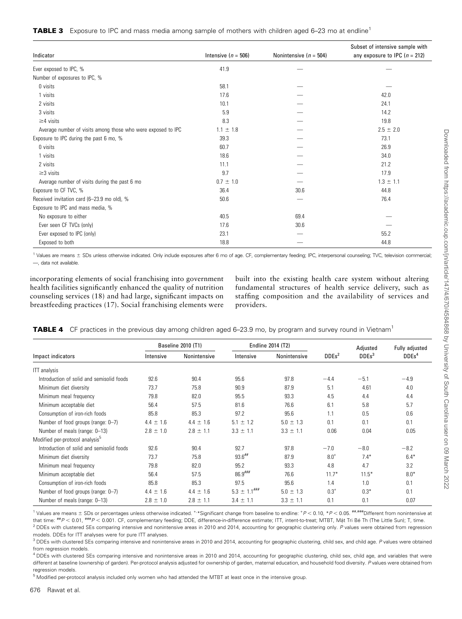|  |  |  | <b>TABLE 3</b> Exposure to IPC and mass media among sample of mothers with children aged 6-23 mo at endline <sup>1</sup> |  |
|--|--|--|--------------------------------------------------------------------------------------------------------------------------|--|
|  |  |  |                                                                                                                          |  |

|                                                              |                         |                            | Subset of intensive sample with   |
|--------------------------------------------------------------|-------------------------|----------------------------|-----------------------------------|
| Indicator                                                    | Intensive ( $n = 506$ ) | Nonintensive ( $n = 504$ ) | any exposure to IPC ( $n = 212$ ) |
| Ever exposed to IPC, %                                       | 41.9                    |                            |                                   |
| Number of exposures to IPC, %                                |                         |                            |                                   |
| 0 visits                                                     | 58.1                    |                            |                                   |
| 1 visits                                                     | 17.6                    |                            | 42.0                              |
| 2 visits                                                     | 10.1                    |                            | 24.1                              |
| 3 visits                                                     | 5.9                     |                            | 14.2                              |
| $\geq$ 4 visits                                              | 8.3                     |                            | 19.8                              |
| Average number of visits among those who were exposed to IPC | $1.1 \pm 1.8$           |                            | $2.5 \pm 2.0$                     |
| Exposure to IPC during the past 6 mo, %                      | 39.3                    |                            | 73.1                              |
| 0 visits                                                     | 60.7                    |                            | 26.9                              |
| 1 visits                                                     | 18.6                    |                            | 34.0                              |
| 2 visits                                                     | 11.1                    |                            | 21.2                              |
| $\geq$ 3 visits                                              | 9.7                     |                            | 17.9                              |
| Average number of visits during the past 6 mo                | $0.7 \pm 1.0$           |                            | $1.3 \pm 1.1$                     |
| Exposure to CF TVC, %                                        | 36.4                    | 30.6                       | 44.8                              |
| Received invitation card (6-23.9 mo old), %                  | 50.6                    |                            | 76.4                              |
| Exposure to IPC and mass media, %                            |                         |                            |                                   |
| No exposure to either                                        | 40.5                    | 69.4                       |                                   |
| Ever seen CF TVCs (only)                                     | 17.6                    | 30.6                       |                                   |
| Ever exposed to IPC (only)                                   | 23.1                    |                            | 55.2                              |
| Exposed to both                                              | 18.8                    |                            | 44.8                              |

1 Values are means ± SDs unless otherwise indicated. Only include exposures after 6 mo of age. CF, complementary feeding; IPC, interpersonal counseling; TVC, television commercial; —, data not available.

incorporating elements of social franchising into government health facilities significantly enhanced the quality of nutrition counseling services (18) and had large, significant impacts on breastfeeding practices (17). Social franchising elements were built into the existing health care system without altering fundamental structures of health service delivery, such as staffing composition and the availability of services and providers.

|  |  |  | <b>TABLE 4</b> CF practices in the previous day among children aged 6–23.9 mo, by program and survey round in Vietnam <sup>1</sup> |
|--|--|--|------------------------------------------------------------------------------------------------------------------------------------|
|--|--|--|------------------------------------------------------------------------------------------------------------------------------------|

|                                             |               | <b>Baseline 2010 (T1)</b> |                   | Endline 2014 (T2) |                   | Adjusted          | Fully adjusted    |
|---------------------------------------------|---------------|---------------------------|-------------------|-------------------|-------------------|-------------------|-------------------|
| Impact indicators                           | Intensive     | Nonintensive              | Intensive         | Nonintensive      | DDEs <sup>2</sup> | DDEs <sup>3</sup> | DDEs <sup>4</sup> |
| <b>ITT</b> analysis                         |               |                           |                   |                   |                   |                   |                   |
| Introduction of solid and semisolid foods   | 92.6          | 90.4                      | 95.6              | 97.8              | $-4.4$            | $-5.1$            | $-4.9$            |
| Minimum diet diversity                      | 73.7          | 75.8                      | 90.9              | 87.9              | 5.1               | 4.61              | 4.0               |
| Minimum meal frequency                      | 79.8          | 82.0                      | 95.5              | 93.3              | 4.5               | 4.4               | 4.4               |
| Minimum acceptable diet                     | 56.4          | 57.5                      | 81.6              | 76.6              | 6.1               | 5.8               | 5.7               |
| Consumption of iron-rich foods              | 85.8          | 85.3                      | 97.2              | 95.6              | 1.1               | 0.5               | 0.6               |
| Number of food groups (range: 0-7)          | $4.4 \pm 1.6$ | $4.4 \pm 1.6$             | $5.1 \pm 1.2$     | $5.0 \pm 1.3$     | 0.1               | 0.1               | 0.1               |
| Number of meals (range: 0-13)               | $2.8 \pm 1.0$ | $2.8 \pm 1.1$             | $3.3 \pm 1.1$     | $3.3 \pm 1.1$     | 0.06              | 0.04              | 0.05              |
| Modified per-protocol analysis <sup>5</sup> |               |                           |                   |                   |                   |                   |                   |
| Introduction of solid and semisolid foods   | 92.6          | 90.4                      | 92.7              | 97.8              | $-7.0$            | $-8.0$            | $-8.2$            |
| Minimum diet diversity                      | 73.7          | 75.8                      | $93.6$ ##         | 87.9              | $8.0^{+}$         | $7.4*$            | $6.4*$            |
| Minimum meal frequency                      | 79.8          | 82.0                      | 95.2              | 93.3              | 4.8               | 4.7               | 3.2               |
| Minimum acceptable diet                     | 56.4          | 57.5                      | $86.9$ ###        | 76.6              | $11.7*$           | $11.5*$           | $8.0*$            |
| Consumption of iron-rich foods              | 85.8          | 85.3                      | 97.5              | 95.6              | 1.4               | 1.0               | 0.1               |
| Number of food groups (range: 0-7)          | $4.4 \pm 1.6$ | $4.4 \pm 1.6$             | $5.3 \pm 1.1$ ### | $5.0 \pm 1.3$     | $0.3^{+}$         | $0.3*$            | 0.1               |
| Number of meals (range: 0-13)               | $2.8 \pm 1.0$ | $2.8 \pm 1.1$             | $3.4 \pm 1.1$     | $3.3 \pm 1.1$     | 0.1               | 0.1               | 0.07              |

<sup>1</sup> Values are means  $\pm$  SDs or percentages unless otherwise indicated. \* \* Significant change from baseline to endline:  $^{\ast}P$  < 0.10,  $^{\ast}P$  < 0.05.  $^{\ast\ast\ast\ast\ast\ast\ast\ast\ast\ast\ast}$  Different from nonintensive at that time:  $^{tt}P < 0.01$ ,  $^{tt}P < 0.001$ . CF, complementary feeding; DDE, difference-in-difference estimate; ITT, intent-to-treat; MTBT, Mặt Tri Bé Th (The Little Sun); T, time.<br><sup>2</sup> DDE with alustary CFs acroasing intensive <sup>2</sup> DDEs with clustered SEs comparing intensive and nonintensive areas in 2010 and 2014, accounting for geographic clustering only. P values were obtained from regression models. DDEs for ITT analyses were for pure ITT analyses.

<sup>3</sup> DDEs with clustered SEs comparing intensive and nonintensive areas in 2010 and 2014, accounting for geographic clustering, child sex, and child age. P values were obtained from regression models.

<sup>4</sup> DDEs with clustered SEs comparing intensive and nonintensive areas in 2010 and 2014, accounting for geographic clustering, child sex, child age, and variables that were different at baseline (ownership of garden). Per-protocol analysis adjusted for ownership of garden, maternal education, and household food diversity. P values were obtained from regression models.

<sup>5</sup> Modified per-protocol analysis included only women who had attended the MTBT at least once in the intensive group.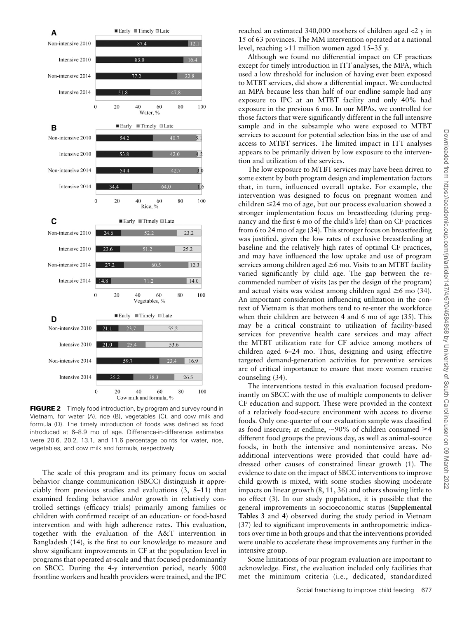

**FIGURE 2** Timely food introduction, by program and survey round in Vietnam, for water (A), rice (B), vegetables (C), and cow milk and formula (D). The timely introduction of foods was defined as food introduced at 6–8.9 mo of age. Difference-in-difference estimates were 20.6, 20.2, 13.1, and 11.6 percentage points for water, rice, vegetables, and cow milk and formula, respectively.

The scale of this program and its primary focus on social behavior change communication (SBCC) distinguish it appreciably from previous studies and evaluations (3, 8–11) that examined feeding behavior and/or growth in relatively controlled settings (efficacy trials) primarily among families or children with confirmed receipt of an education- or food-based intervention and with high adherence rates. This evaluation, together with the evaluation of the A&T intervention in Bangladesh (14), is the first to our knowledge to measure and show significant improvements in CF at the population level in programs that operated at-scale and that focused predominantly on SBCC. During the 4-y intervention period, nearly 5000 frontline workers and health providers were trained, and the IPC

reached an estimated 340,000 mothers of children aged <2 y in 15 of 63 provinces. The MM intervention operated at a national level, reaching >11 million women aged 15–35 y.

Although we found no differential impact on CF practices except for timely introduction in ITT analyses, the MPA, which used a low threshold for inclusion of having ever been exposed to MTBT services, did show a differential impact. We conducted an MPA because less than half of our endline sample had any exposure to IPC at an MTBT facility and only 40% had exposure in the previous 6 mo. In our MPAs, we controlled for those factors that were significantly different in the full intensive sample and in the subsample who were exposed to MTBT services to account for potential selection bias in the use of and access to MTBT services. The limited impact in ITT analyses appears to be primarily driven by low exposure to the intervention and utilization of the services.

The low exposure to MTBT services may have been driven to some extent by both program design and implementation factors that, in turn, influenced overall uptake. For example, the intervention was designed to focus on pregnant women and children  $\leq$ 24 mo of age, but our process evaluation showed a stronger implementation focus on breastfeeding (during pregnancy and the first 6 mo of the child's life) than on CF practices from 6 to 24 mo of age (34). This stronger focus on breastfeeding was justified, given the low rates of exclusive breastfeeding at baseline and the relatively high rates of optimal CF practices, and may have influenced the low uptake and use of program services among children aged  $\geq$ 6 mo. Visits to an MTBT facility varied significantly by child age. The gap between the recommended number of visits (as per the design of the program) and actual visits was widest among children aged  $\geq 6$  mo (34). An important consideration influencing utilization in the context of Vietnam is that mothers tend to re-enter the workforce when their children are between 4 and 6 mo of age (35). This may be a critical constraint to utilization of facility-based services for preventive health care services and may affect the MTBT utilization rate for CF advice among mothers of children aged 6–24 mo. Thus, designing and using effective targeted demand-generation activities for preventive services are of critical importance to ensure that more women receive counseling (34).

The interventions tested in this evaluation focused predominantly on SBCC with the use of multiple components to deliver CF education and support. These were provided in the context of a relatively food-secure environment with access to diverse foods. Only one-quarter of our evaluation sample was classified as food insecure; at endline,  $\sim$ 90% of children consumed  $\geq$ 4 different food groups the previous day, as well as animal-source foods, in both the intensive and nonintensive areas. No additional interventions were provided that could have addressed other causes of constrained linear growth (1). The evidence to date on the impact of SBCC interventions to improve child growth is mixed, with some studies showing moderate impacts on linear growth (8, 11, 36) and others showing little to no effect (3). In our study population, it is possible that the general improvements in socioeconomic status (Supplemental Tables 3 and 4) observed during the study period in Vietnam (37) led to significant improvements in anthropometric indicators over time in both groups and that the interventions provided were unable to accelerate these improvements any further in the intensive group.

Some limitations of our program evaluation are important to acknowledge. First, the evaluation included only facilities that met the minimum criteria (i.e., dedicated, standardized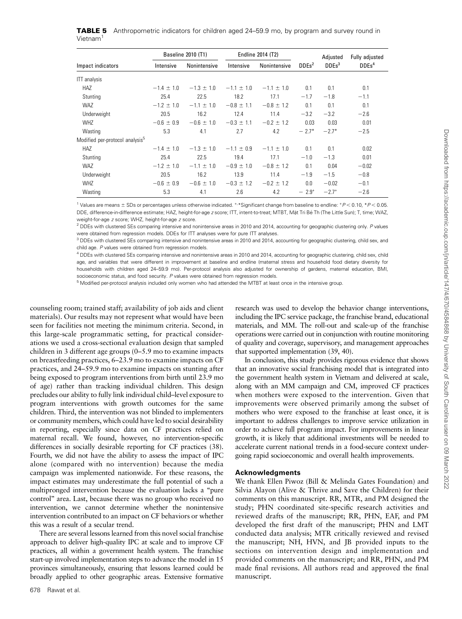|                      | TABLE 5 Anthropometric indicators for children aged 24-59.9 mo, by program and survey round in |  |  |
|----------------------|------------------------------------------------------------------------------------------------|--|--|
| Vietnam <sup>1</sup> |                                                                                                |  |  |

|                                             |                | <b>Baseline 2010 (T1)</b> |                | Endline 2014 (T2) |                   | Adjusted          | Fully adjusted    |
|---------------------------------------------|----------------|---------------------------|----------------|-------------------|-------------------|-------------------|-------------------|
| Impact indicators                           | Intensive      | Nonintensive              | Intensive      | Nonintensive      | DDEs <sup>2</sup> | DDEs <sup>3</sup> | DDEs <sup>4</sup> |
| <b>ITT</b> analysis                         |                |                           |                |                   |                   |                   |                   |
| HAZ                                         | $-1.4 \pm 1.0$ | $-1.3 \pm 1.0$            | $-1.1 \pm 1.0$ | $-1.1 \pm 1.0$    | 0.1               | 0.1               | 0.1               |
| Stunting                                    | 25.4           | 22.5                      | 18.2           | 17.1              | $-1.7$            | $-1.8$            | $-1.1$            |
| <b>WAZ</b>                                  | $-1.2 \pm 1.0$ | $-1.1 \pm 1.0$            | $-0.8 \pm 1.1$ | $-0.8 \pm 1.2$    | 0.1               | 0.1               | 0.1               |
| Underweight                                 | 20.5           | 16.2                      | 12.4           | 11.4              | $-3.2$            | $-3.2$            | $-2.6$            |
| <b>WHZ</b>                                  | $-0.6 \pm 0.9$ | $-0.6 \pm 1.0$            | $-0.3 \pm 1.1$ | $-0.2 \pm 1.2$    | 0.03              | 0.03              | 0.01              |
| Wasting                                     | 5.3            | 4.1                       | 2.7            | 4.2               | $-2.7*$           | $-2.7*$           | $-2.5$            |
| Modified per-protocol analysis <sup>5</sup> |                |                           |                |                   |                   |                   |                   |
| HAZ                                         | $-1.4 \pm 1.0$ | $-1.3 \pm 1.0$            | $-1.1 \pm 0.9$ | $-1.1 \pm 1.0$    | 0.1               | 0.1               | 0.02              |
| Stunting                                    | 25.4           | 22.5                      | 19.4           | 17.1              | $-1.0$            | $-1.3$            | 0.01              |
| WAZ                                         | $-1.2 \pm 1.0$ | $-1.1 \pm 1.0$            | $-0.9 \pm 1.0$ | $-0.8 \pm 1.2$    | 0.1               | 0.04              | $-0.02$           |
| Underweight                                 | 20.5           | 16.2                      | 13.9           | 11.4              | $-1.9$            | $-1.5$            | $-0.8$            |
| <b>WHZ</b>                                  | $-0.6 \pm 0.9$ | $-0.6 \pm 1.0$            | $-0.3 \pm 1.2$ | $-0.2 \pm 1.2$    | 0.0               | $-0.02$           | $-0.1$            |
| Wasting                                     | 5.3            | 4.1                       | 2.6            | 4.2               | $-2.9^{+}$        | $-2.7^{+}$        | $-2.6$            |

<sup>1</sup> Values are means  $\pm$  SDs or percentages unless otherwise indicated. \*\*Significant change from baseline to endline:  $*P$  < 0.10,  $*P$  < 0.05. DDE, difference-in-difference estimate; HAZ, height-for-age z score; ITT, intent-to-treat; MTBT, Mặt Tri Bé Th (The Little Sun); T, time; WAZ,<br>vurieht fer age a aeara: WHZ, beight fer age a aeara weight-for-age z score; WHZ, height-for-age z score.

<sup>2</sup> DDEs with clustered SEs comparing intensive and nonintensive areas in 2010 and 2014, accounting for geographic clustering only. P values were obtained from regression models. DDEs for ITT analyses were for pure ITT analyses.

 $3$  DDEs with clustered SEs comparing intensive and nonintensive areas in 2010 and 2014, accounting for geographic clustering, child sex, and child age. P values were obtained from regression models.

<sup>4</sup> DDEs with clustered SEs comparing intensive and nonintensive areas in 2010 and 2014, accounting for geographic clustering, child sex, child age, and variables that were different in improvement at baseline and endline (maternal stress and household food dietary diversity for households with children aged 24–59.9 mo). Per-protocol analysis also adjusted for ownership of gardens, maternal education, BMI, socioeconomic status, and food security. P values were obtained from regression models.

<sup>5</sup> Modified per-protocol analysis included only women who had attended the MTBT at least once in the intensive group.

counseling room; trained staff; availability of job aids and client materials). Our results may not represent what would have been seen for facilities not meeting the minimum criteria. Second, in this large-scale programmatic setting, for practical considerations we used a cross-sectional evaluation design that sampled children in 3 different age groups (0–5.9 mo to examine impacts on breastfeeding practices, 6–23.9 mo to examine impacts on CF practices, and 24–59.9 mo to examine impacts on stunting after being exposed to program interventions from birth until 23.9 mo of age) rather than tracking individual children. This design precludes our ability to fully link individual child–level exposure to program interventions with growth outcomes for the same children. Third, the intervention was not blinded to implementers or community members, which could have led to social desirability in reporting, especially since data on CF practices relied on maternal recall. We found, however, no intervention-specific differences in socially desirable reporting for CF practices (38). Fourth, we did not have the ability to assess the impact of IPC alone (compared with no intervention) because the media campaign was implemented nationwide. For these reasons, the impact estimates may underestimate the full potential of such a multipronged intervention because the evaluation lacks a ''pure control'' area. Last, because there was no group who received no intervention, we cannot determine whether the nonintensive intervention contributed to an impact on CF behaviors or whether this was a result of a secular trend.

There are several lessons learned from this novel social franchise approach to deliver high-quality IPC at scale and to improve CF practices, all within a government health system. The franchise start-up involved implementation steps to advance the model in 15 provinces simultaneously, ensuring that lessons learned could be broadly applied to other geographic areas. Extensive formative

678 Rawat et al.

research was used to develop the behavior change interventions, including the IPC service package, the franchise brand, educational materials, and MM. The roll-out and scale-up of the franchise operations were carried out in conjunction with routine monitoring of quality and coverage, supervisory, and management approaches that supported implementation (39, 40).

In conclusion, this study provides rigorous evidence that shows that an innovative social franchising model that is integrated into the government health system in Vietnam and delivered at scale, along with an MM campaign and CM, improved CF practices when mothers were exposed to the intervention. Given that improvements were observed primarily among the subset of mothers who were exposed to the franchise at least once, it is important to address challenges to improve service utilization in order to achieve full program impact. For improvements in linear growth, it is likely that additional investments will be needed to accelerate current national trends in a food-secure context undergoing rapid socioeconomic and overall health improvements.

#### Acknowledgments

We thank Ellen Piwoz (Bill & Melinda Gates Foundation) and Silvia Alayon (Alive & Thrive and Save the Children) for their comments on this manuscript. RR, MTR, and PM designed the study; PHN coordinated site-specific research activities and reviewed drafts of the manuscript; RR, PHN, EAF, and PM developed the first draft of the manuscript; PHN and LMT conducted data analysis; MTR critically reviewed and revised the manuscript; NH, HVN, and JB provided inputs to the sections on intervention design and implementation and provided comments on the manuscript; and RR, PHN, and PM made final revisions. All authors read and approved the final manuscript.